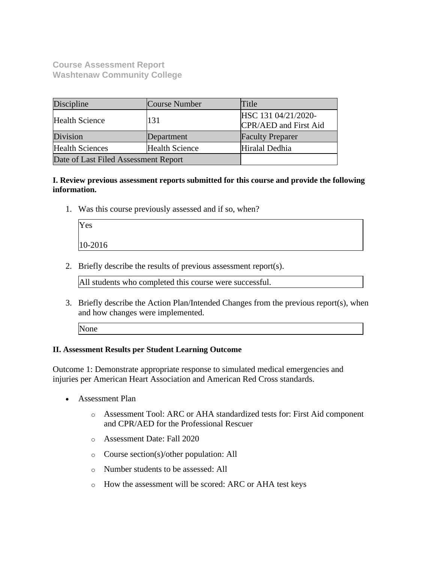**Course Assessment Report Washtenaw Community College**

| Discipline                                      | Course Number | Title                                        |
|-------------------------------------------------|---------------|----------------------------------------------|
| <b>Health Science</b>                           | 131           | HSC 131 04/21/2020-<br>CPR/AED and First Aid |
| Division                                        | Department    | <b>Faculty Preparer</b>                      |
| <b>Health Sciences</b><br><b>Health Science</b> |               | Hiralal Dedhia                               |
| Date of Last Filed Assessment Report            |               |                                              |

**I. Review previous assessment reports submitted for this course and provide the following information.**

1. Was this course previously assessed and if so, when?

| Yes     |  |
|---------|--|
| 10-2016 |  |

2. Briefly describe the results of previous assessment report(s).

All students who completed this course were successful.

- 3. Briefly describe the Action Plan/Intended Changes from the previous report(s), when and how changes were implemented.
	- None

## **II. Assessment Results per Student Learning Outcome**

Outcome 1: Demonstrate appropriate response to simulated medical emergencies and injuries per American Heart Association and American Red Cross standards.

- Assessment Plan
	- o Assessment Tool: ARC or AHA standardized tests for: First Aid component and CPR/AED for the Professional Rescuer
	- o Assessment Date: Fall 2020
	- o Course section(s)/other population: All
	- o Number students to be assessed: All
	- o How the assessment will be scored: ARC or AHA test keys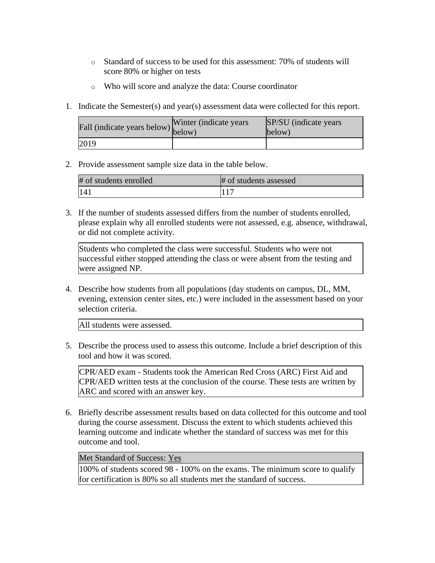- o Standard of success to be used for this assessment: 70% of students will score 80% or higher on tests
- o Who will score and analyze the data: Course coordinator
- 1. Indicate the Semester(s) and year(s) assessment data were collected for this report.

| rall (indicate years below) below) | Winter (indicate years) | SP/SU (indicate years)<br>below) |
|------------------------------------|-------------------------|----------------------------------|
| 2019                               |                         |                                  |

2. Provide assessment sample size data in the table below.

| # of students enrolled | # of students assessed |
|------------------------|------------------------|
| 141                    |                        |

3. If the number of students assessed differs from the number of students enrolled, please explain why all enrolled students were not assessed, e.g. absence, withdrawal, or did not complete activity.

Students who completed the class were successful. Students who were not successful either stopped attending the class or were absent from the testing and were assigned NP.

4. Describe how students from all populations (day students on campus, DL, MM, evening, extension center sites, etc.) were included in the assessment based on your selection criteria.

All students were assessed.

5. Describe the process used to assess this outcome. Include a brief description of this tool and how it was scored.

CPR/AED exam - Students took the American Red Cross (ARC) First Aid and CPR/AED written tests at the conclusion of the course. These tests are written by ARC and scored with an answer key.

6. Briefly describe assessment results based on data collected for this outcome and tool during the course assessment. Discuss the extent to which students achieved this learning outcome and indicate whether the standard of success was met for this outcome and tool.

Met Standard of Success: Yes

100% of students scored 98 - 100% on the exams. The minimum score to qualify for certification is 80% so all students met the standard of success.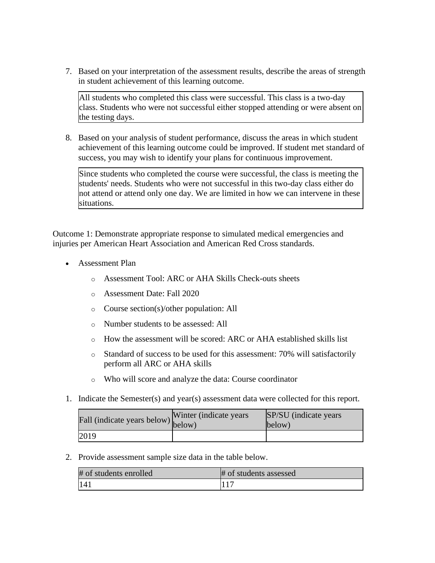7. Based on your interpretation of the assessment results, describe the areas of strength in student achievement of this learning outcome.

All students who completed this class were successful. This class is a two-day class. Students who were not successful either stopped attending or were absent on the testing days.

8. Based on your analysis of student performance, discuss the areas in which student achievement of this learning outcome could be improved. If student met standard of success, you may wish to identify your plans for continuous improvement.

Since students who completed the course were successful, the class is meeting the students' needs. Students who were not successful in this two-day class either do not attend or attend only one day. We are limited in how we can intervene in these situations.

Outcome 1: Demonstrate appropriate response to simulated medical emergencies and injuries per American Heart Association and American Red Cross standards.

- Assessment Plan
	- o Assessment Tool: ARC or AHA Skills Check-outs sheets
	- o Assessment Date: Fall 2020
	- o Course section(s)/other population: All
	- o Number students to be assessed: All
	- o How the assessment will be scored: ARC or AHA established skills list
	- o Standard of success to be used for this assessment: 70% will satisfactorily perform all ARC or AHA skills
	- o Who will score and analyze the data: Course coordinator
- 1. Indicate the Semester(s) and year(s) assessment data were collected for this report.

| Fall (indicate years below) below) | Winter (indicate years) | SP/SU (indicate years)<br>below) |
|------------------------------------|-------------------------|----------------------------------|
| 2019                               |                         |                                  |

2. Provide assessment sample size data in the table below.

| # of students enrolled | # of students assessed |
|------------------------|------------------------|
| 141                    |                        |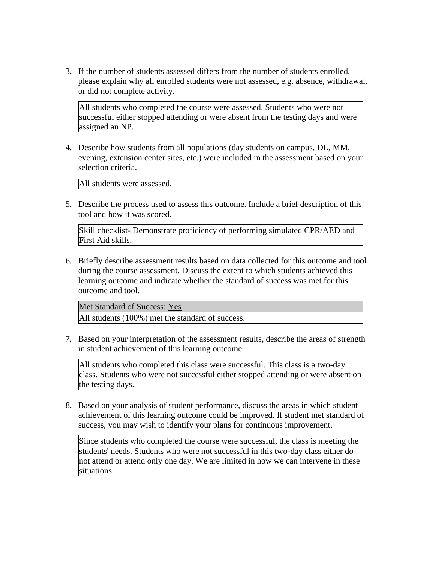3. If the number of students assessed differs from the number of students enrolled, please explain why all enrolled students were not assessed, e.g. absence, withdrawal, or did not complete activity.

All students who completed the course were assessed. Students who were not successful either stopped attending or were absent from the testing days and were assigned an NP.

4. Describe how students from all populations (day students on campus, DL, MM, evening, extension center sites, etc.) were included in the assessment based on your selection criteria.

All students were assessed.

5. Describe the process used to assess this outcome. Include a brief description of this tool and how it was scored.

Skill checklist- Demonstrate proficiency of performing simulated CPR/AED and First Aid skills.

6. Briefly describe assessment results based on data collected for this outcome and tool during the course assessment. Discuss the extent to which students achieved this learning outcome and indicate whether the standard of success was met for this outcome and tool.

Met Standard of Success: Yes

All students (100%) met the standard of success.

7. Based on your interpretation of the assessment results, describe the areas of strength in student achievement of this learning outcome.

All students who completed this class were successful. This class is a two-day class. Students who were not successful either stopped attending or were absent on the testing days.

8. Based on your analysis of student performance, discuss the areas in which student achievement of this learning outcome could be improved. If student met standard of success, you may wish to identify your plans for continuous improvement.

Since students who completed the course were successful, the class is meeting the students' needs. Students who were not successful in this two-day class either do not attend or attend only one day. We are limited in how we can intervene in these situations.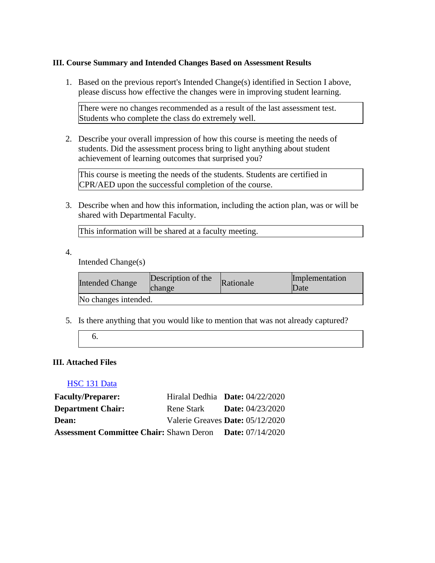## **III. Course Summary and Intended Changes Based on Assessment Results**

1. Based on the previous report's Intended Change(s) identified in Section I above, please discuss how effective the changes were in improving student learning.

There were no changes recommended as a result of the last assessment test. Students who complete the class do extremely well.

2. Describe your overall impression of how this course is meeting the needs of students. Did the assessment process bring to light anything about student achievement of learning outcomes that surprised you?

This course is meeting the needs of the students. Students are certified in CPR/AED upon the successful completion of the course.

3. Describe when and how this information, including the action plan, was or will be shared with Departmental Faculty.

This information will be shared at a faculty meeting.

4.

Intended Change(s)

| <b>Intended Change</b> | Description of the<br>change | Rationale | Implementation<br>Date |
|------------------------|------------------------------|-----------|------------------------|
| No changes intended.   |                              |           |                        |

5. Is there anything that you would like to mention that was not already captured?

## **III. Attached Files**

## [HSC 131 Data](documents/HSC%20131%20data.xlsx)

| <b>Faculty/Preparer:</b>                       | Hiralal Dedhia <b>Date:</b> $04/22/2020$ |                           |  |
|------------------------------------------------|------------------------------------------|---------------------------|--|
| <b>Department Chair:</b>                       | Rene Stark                               | <b>Date:</b> $04/23/2020$ |  |
| Dean:                                          | Valerie Greaves Date: 05/12/2020         |                           |  |
| <b>Assessment Committee Chair: Shawn Deron</b> |                                          | <b>Date:</b> $07/14/2020$ |  |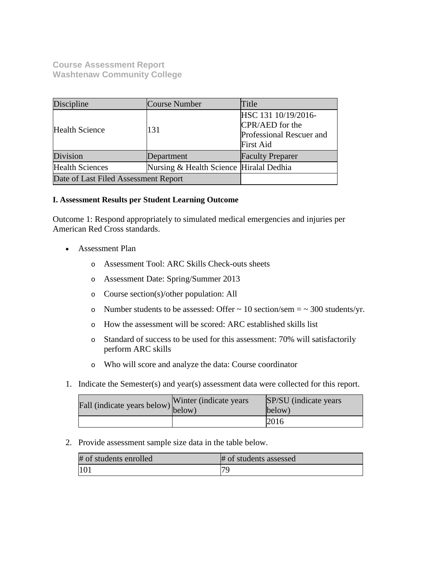**Course Assessment Report Washtenaw Community College**

| Discipline                           | Course Number                           | Title                                                                                  |
|--------------------------------------|-----------------------------------------|----------------------------------------------------------------------------------------|
| <b>Health Science</b>                | 131                                     | HSC 131 10/19/2016-<br>CPR/AED for the<br>Professional Rescuer and<br><b>First Aid</b> |
| Division                             | Department                              | <b>Faculty Preparer</b>                                                                |
| <b>Health Sciences</b>               | Nursing & Health Science Hiralal Dedhia |                                                                                        |
| Date of Last Filed Assessment Report |                                         |                                                                                        |

## **I. Assessment Results per Student Learning Outcome**

Outcome 1: Respond appropriately to simulated medical emergencies and injuries per American Red Cross standards.

- Assessment Plan
	- o Assessment Tool: ARC Skills Check-outs sheets
	- o Assessment Date: Spring/Summer 2013
	- o Course section(s)/other population: All
	- o Number students to be assessed: Offer  $\sim 10$  section/sem  $= \sim 300$  students/yr.
	- o How the assessment will be scored: ARC established skills list
	- o Standard of success to be used for this assessment: 70% will satisfactorily perform ARC skills
	- o Who will score and analyze the data: Course coordinator
- 1. Indicate the Semester(s) and year(s) assessment data were collected for this report.

| Fall (indicate years below) below) | Winter (indicate years) | SP/SU (indicate years)<br>below) |
|------------------------------------|-------------------------|----------------------------------|
|                                    |                         | 2016                             |

### 2. Provide assessment sample size data in the table below.

| # of students enrolled | # of students assessed |
|------------------------|------------------------|
| 101                    |                        |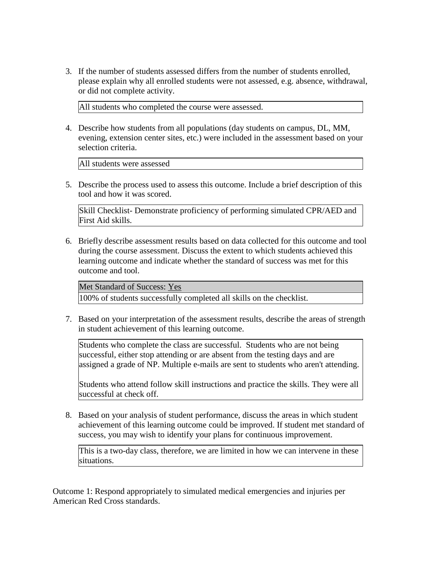3. If the number of students assessed differs from the number of students enrolled, please explain why all enrolled students were not assessed, e.g. absence, withdrawal, or did not complete activity.

All students who completed the course were assessed.

4. Describe how students from all populations (day students on campus, DL, MM, evening, extension center sites, etc.) were included in the assessment based on your selection criteria.

All students were assessed

5. Describe the process used to assess this outcome. Include a brief description of this tool and how it was scored.

Skill Checklist- Demonstrate proficiency of performing simulated CPR/AED and First Aid skills.

6. Briefly describe assessment results based on data collected for this outcome and tool during the course assessment. Discuss the extent to which students achieved this learning outcome and indicate whether the standard of success was met for this outcome and tool.

Met Standard of Success: Yes

100% of students successfully completed all skills on the checklist.

7. Based on your interpretation of the assessment results, describe the areas of strength in student achievement of this learning outcome.

Students who complete the class are successful. Students who are not being successful, either stop attending or are absent from the testing days and are assigned a grade of NP. Multiple e-mails are sent to students who aren't attending.

Students who attend follow skill instructions and practice the skills. They were all successful at check off.

8. Based on your analysis of student performance, discuss the areas in which student achievement of this learning outcome could be improved. If student met standard of success, you may wish to identify your plans for continuous improvement.

This is a two-day class, therefore, we are limited in how we can intervene in these situations.

Outcome 1: Respond appropriately to simulated medical emergencies and injuries per American Red Cross standards.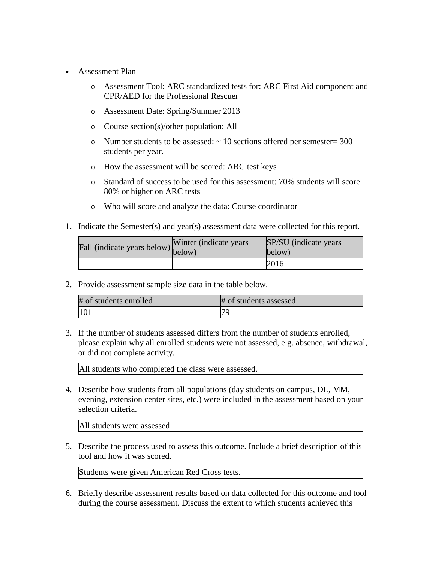- Assessment Plan
	- o Assessment Tool: ARC standardized tests for: ARC First Aid component and CPR/AED for the Professional Rescuer
	- o Assessment Date: Spring/Summer 2013
	- o Course section(s)/other population: All
	- o Number students to be assessed:  $\sim 10$  sections offered per semester= 300 students per year.
	- o How the assessment will be scored: ARC test keys
	- o Standard of success to be used for this assessment: 70% students will score 80% or higher on ARC tests
	- o Who will score and analyze the data: Course coordinator
- 1. Indicate the Semester(s) and year(s) assessment data were collected for this report.

| rall (indicate years below) below) | Winter (indicate years | SP/SU (indicate years)<br>below) |
|------------------------------------|------------------------|----------------------------------|
|                                    |                        | 2016                             |

2. Provide assessment sample size data in the table below.

| # of students enrolled | # of students assessed |
|------------------------|------------------------|
|                        | 70                     |

3. If the number of students assessed differs from the number of students enrolled, please explain why all enrolled students were not assessed, e.g. absence, withdrawal, or did not complete activity.

All students who completed the class were assessed.

4. Describe how students from all populations (day students on campus, DL, MM, evening, extension center sites, etc.) were included in the assessment based on your selection criteria.

All students were assessed

5. Describe the process used to assess this outcome. Include a brief description of this tool and how it was scored.

Students were given American Red Cross tests.

6. Briefly describe assessment results based on data collected for this outcome and tool during the course assessment. Discuss the extent to which students achieved this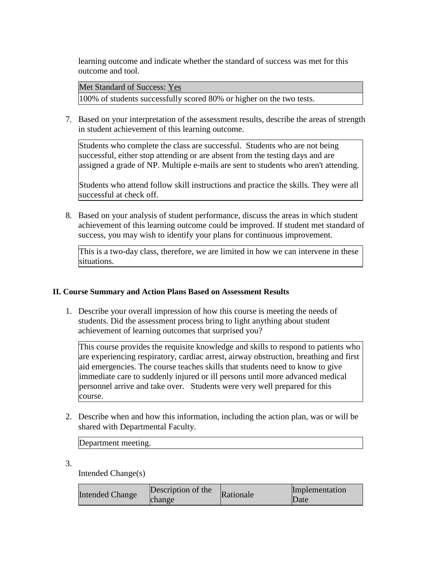learning outcome and indicate whether the standard of success was met for this outcome and tool.

Met Standard of Success: Yes

100% of students successfully scored 80% or higher on the two tests.

7. Based on your interpretation of the assessment results, describe the areas of strength in student achievement of this learning outcome.

Students who complete the class are successful. Students who are not being successful, either stop attending or are absent from the testing days and are assigned a grade of NP. Multiple e-mails are sent to students who aren't attending.

Students who attend follow skill instructions and practice the skills. They were all successful at check off.

8. Based on your analysis of student performance, discuss the areas in which student achievement of this learning outcome could be improved. If student met standard of success, you may wish to identify your plans for continuous improvement.

This is a two-day class, therefore, we are limited in how we can intervene in these situations.

## **II. Course Summary and Action Plans Based on Assessment Results**

1. Describe your overall impression of how this course is meeting the needs of students. Did the assessment process bring to light anything about student achievement of learning outcomes that surprised you?

This course provides the requisite knowledge and skills to respond to patients who are experiencing respiratory, cardiac arrest, airway obstruction, breathing and first aid emergencies. The course teaches skills that students need to know to give immediate care to suddenly injured or ill persons until more advanced medical personnel arrive and take over. Students were very well prepared for this course.

2. Describe when and how this information, including the action plan, was or will be shared with Departmental Faculty.

Department meeting.

3.

Intended Change(s)

| <b>Intended Change</b> | Description of the<br>change | Rationale | Implementation<br>Date |
|------------------------|------------------------------|-----------|------------------------|
|------------------------|------------------------------|-----------|------------------------|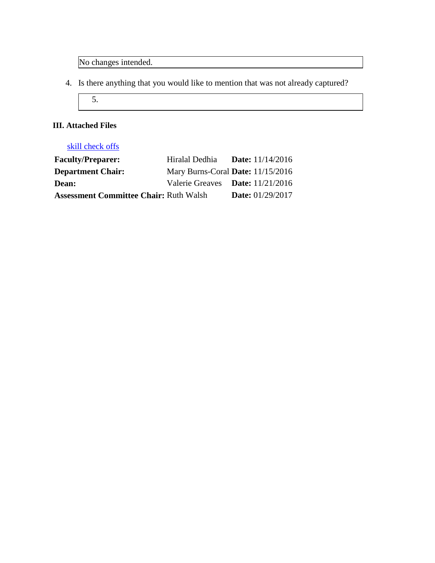No changes intended.

- 4. Is there anything that you would like to mention that was not already captured?
	- 5.

## **III. Attached Files**

# skill check offs

| <b>Faculty/Preparer:</b>                      | Hiralal Dedhia                    | <b>Date:</b> $11/14/2016$ |
|-----------------------------------------------|-----------------------------------|---------------------------|
| <b>Department Chair:</b>                      | Mary Burns-Coral Date: 11/15/2016 |                           |
| <b>Dean:</b>                                  | Valerie Greaves Date: 11/21/2016  |                           |
| <b>Assessment Committee Chair: Ruth Walsh</b> |                                   | <b>Date:</b> $01/29/2017$ |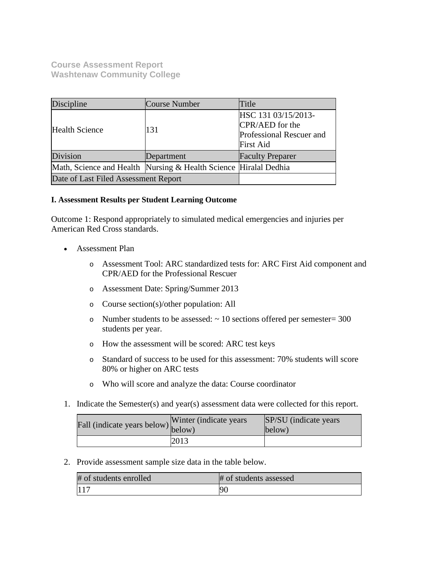**Course Assessment Report Washtenaw Community College**

| Discipline                                                       | <b>Course Number</b> | Title                                                                                  |
|------------------------------------------------------------------|----------------------|----------------------------------------------------------------------------------------|
| <b>Health Science</b>                                            | 131                  | HSC 131 03/15/2013-<br>CPR/AED for the<br>Professional Rescuer and<br><b>First Aid</b> |
| Division                                                         | Department           | <b>Faculty Preparer</b>                                                                |
| Math, Science and Health Nursing & Health Science Hiralal Dedhia |                      |                                                                                        |
| Date of Last Filed Assessment Report                             |                      |                                                                                        |

## **I. Assessment Results per Student Learning Outcome**

Outcome 1: Respond appropriately to simulated medical emergencies and injuries per American Red Cross standards.

- Assessment Plan
	- o Assessment Tool: ARC standardized tests for: ARC First Aid component and CPR/AED for the Professional Rescuer
	- o Assessment Date: Spring/Summer 2013
	- o Course section(s)/other population: All
	- o Number students to be assessed: ~ 10 sections offered per semester= 300 students per year.
	- o How the assessment will be scored: ARC test keys
	- o Standard of success to be used for this assessment: 70% students will score 80% or higher on ARC tests
	- o Who will score and analyze the data: Course coordinator
- 1. Indicate the Semester(s) and year(s) assessment data were collected for this report.

| rall (indicate years below) below) | Winter (indicate years) | <b>SP/SU</b> (indicate years)<br>below) |
|------------------------------------|-------------------------|-----------------------------------------|
|                                    | 2013                    |                                         |

2. Provide assessment sample size data in the table below.

| # of students enrolled | # of students assessed |
|------------------------|------------------------|
| 117                    | 90                     |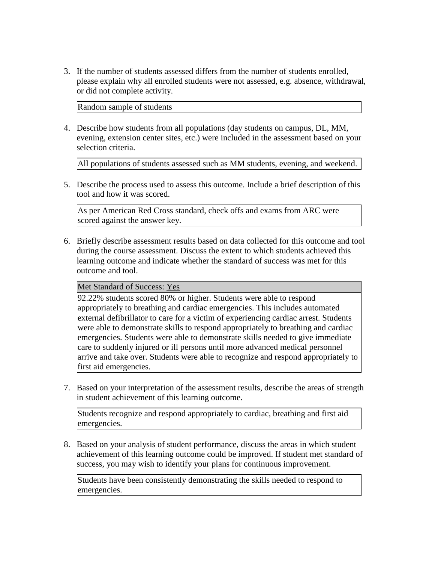3. If the number of students assessed differs from the number of students enrolled, please explain why all enrolled students were not assessed, e.g. absence, withdrawal, or did not complete activity.

Random sample of students

4. Describe how students from all populations (day students on campus, DL, MM, evening, extension center sites, etc.) were included in the assessment based on your selection criteria.

All populations of students assessed such as MM students, evening, and weekend.

5. Describe the process used to assess this outcome. Include a brief description of this tool and how it was scored.

As per American Red Cross standard, check offs and exams from ARC were scored against the answer key.

6. Briefly describe assessment results based on data collected for this outcome and tool during the course assessment. Discuss the extent to which students achieved this learning outcome and indicate whether the standard of success was met for this outcome and tool.

Met Standard of Success: Yes

92.22% students scored 80% or higher. Students were able to respond appropriately to breathing and cardiac emergencies. This includes automated external defibrillator to care for a victim of experiencing cardiac arrest. Students were able to demonstrate skills to respond appropriately to breathing and cardiac emergencies. Students were able to demonstrate skills needed to give immediate care to suddenly injured or ill persons until more advanced medical personnel arrive and take over. Students were able to recognize and respond appropriately to first aid emergencies.

7. Based on your interpretation of the assessment results, describe the areas of strength in student achievement of this learning outcome.

Students recognize and respond appropriately to cardiac, breathing and first aid emergencies.

8. Based on your analysis of student performance, discuss the areas in which student achievement of this learning outcome could be improved. If student met standard of success, you may wish to identify your plans for continuous improvement.

Students have been consistently demonstrating the skills needed to respond to emergencies.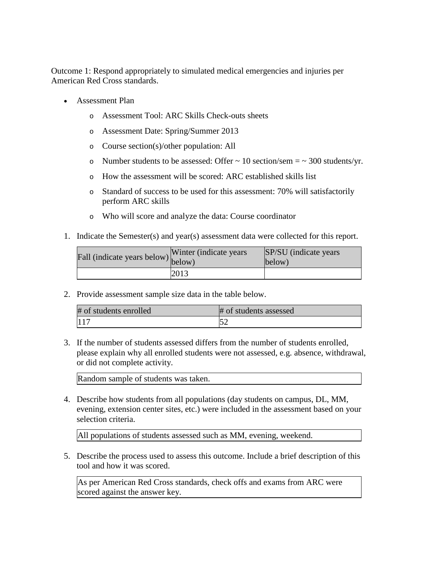Outcome 1: Respond appropriately to simulated medical emergencies and injuries per American Red Cross standards.

- Assessment Plan
	- o Assessment Tool: ARC Skills Check-outs sheets
	- o Assessment Date: Spring/Summer 2013
	- o Course section(s)/other population: All
	- $\circ$  Number students to be assessed: Offer  $\sim$  10 section/sem =  $\sim$  300 students/yr.
	- o How the assessment will be scored: ARC established skills list
	- o Standard of success to be used for this assessment: 70% will satisfactorily perform ARC skills
	- o Who will score and analyze the data: Course coordinator
- 1. Indicate the Semester(s) and year(s) assessment data were collected for this report.

| Fall (indicate years below) below) | Winter (indicate years) | SP/SU (indicate years)<br>below) |
|------------------------------------|-------------------------|----------------------------------|
|                                    | 2013                    |                                  |

2. Provide assessment sample size data in the table below.

| # of students enrolled | # of students assessed |
|------------------------|------------------------|
| 117                    | L) Z                   |

3. If the number of students assessed differs from the number of students enrolled, please explain why all enrolled students were not assessed, e.g. absence, withdrawal, or did not complete activity.

Random sample of students was taken.

4. Describe how students from all populations (day students on campus, DL, MM, evening, extension center sites, etc.) were included in the assessment based on your selection criteria.

All populations of students assessed such as MM, evening, weekend.

5. Describe the process used to assess this outcome. Include a brief description of this tool and how it was scored.

As per American Red Cross standards, check offs and exams from ARC were scored against the answer key.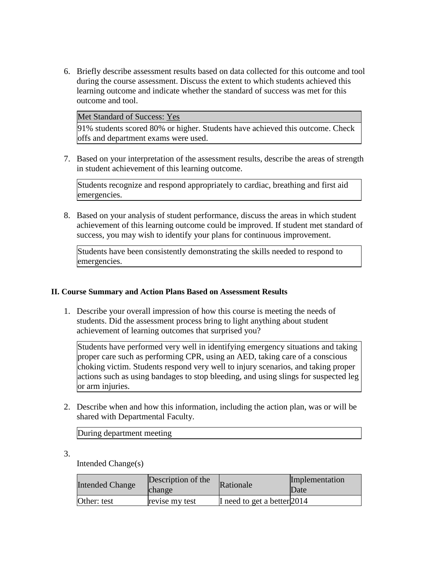6. Briefly describe assessment results based on data collected for this outcome and tool during the course assessment. Discuss the extent to which students achieved this learning outcome and indicate whether the standard of success was met for this outcome and tool.

Met Standard of Success: Yes

91% students scored 80% or higher. Students have achieved this outcome. Check offs and department exams were used.

7. Based on your interpretation of the assessment results, describe the areas of strength in student achievement of this learning outcome.

Students recognize and respond appropriately to cardiac, breathing and first aid emergencies.

8. Based on your analysis of student performance, discuss the areas in which student achievement of this learning outcome could be improved. If student met standard of success, you may wish to identify your plans for continuous improvement.

Students have been consistently demonstrating the skills needed to respond to emergencies.

## **II. Course Summary and Action Plans Based on Assessment Results**

1. Describe your overall impression of how this course is meeting the needs of students. Did the assessment process bring to light anything about student achievement of learning outcomes that surprised you?

Students have performed very well in identifying emergency situations and taking proper care such as performing CPR, using an AED, taking care of a conscious choking victim. Students respond very well to injury scenarios, and taking proper actions such as using bandages to stop bleeding, and using slings for suspected leg or arm injuries.

2. Describe when and how this information, including the action plan, was or will be shared with Departmental Faculty.

During department meeting

3.

Intended Change(s)

| <b>Intended Change</b> | Description of the<br>change | Rationale                   | Implementation<br>Date |
|------------------------|------------------------------|-----------------------------|------------------------|
| Other: test            | revise my test               | I need to get a better 2014 |                        |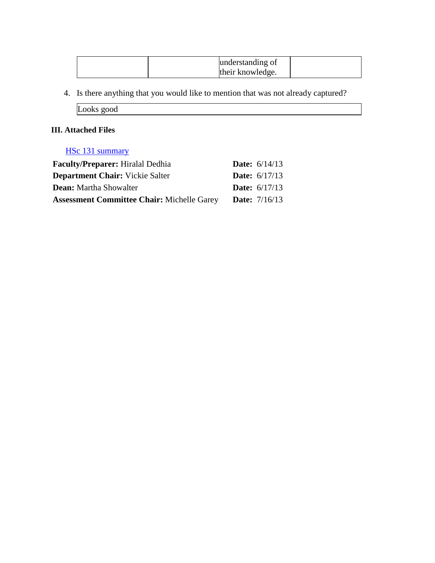| understanding of |  |
|------------------|--|
| their knowledge. |  |

4. Is there anything that you would like to mention that was not already captured?

Looks good

## **III. Attached Files**

## HSc 131 summary

| <b>Faculty/Preparer:</b> Hiralal Dedhia           | <b>Date:</b> $6/14/13$ |
|---------------------------------------------------|------------------------|
| <b>Department Chair:</b> Vickie Salter            | <b>Date:</b> $6/17/13$ |
| <b>Dean:</b> Martha Showalter                     | <b>Date:</b> $6/17/13$ |
| <b>Assessment Committee Chair: Michelle Garey</b> | <b>Date:</b> $7/16/13$ |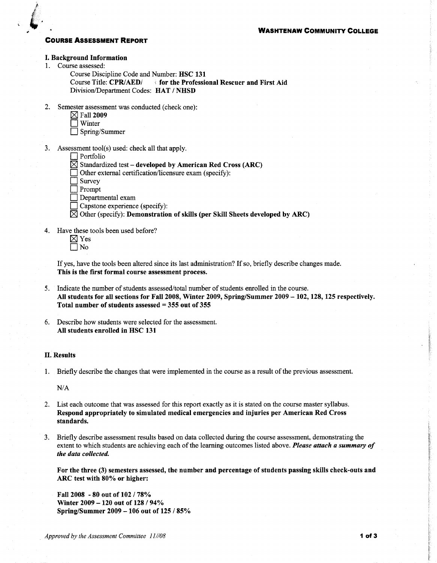### **COURSE ASSESSMENT REPORT**

#### I. Background Information

1. Course assessed:

Course Discipline Code and Number: HSC 131 Division/Department Codes: HAT / NHSD

2. Semester assessment was conducted (check one):

|               | $\boxtimes$ Fall 2009 |  |
|---------------|-----------------------|--|
| $\Box$ Winter |                       |  |

Spring/Summer

3. Assessment tool(s) used: check all that apply.

### $\Box$  Portfolio

 $\boxtimes$  Standardized test – developed by American Red Cross (ARC)

Other external certification/licensure exam (specify):

- Survey
- Prompt
- $\Box$  Departmental exam
- Capstone experience (specify):

 $\boxtimes$  Other (specify): Demonstration of skills (per Skill Sheets developed by ARC)

- 4. Have these tools been used before?
	- $\boxtimes$  Yes  $\Box$  No

If yes, have the tools been altered since its last administration? If so, briefly describe changes made. This is the first formal course assessment process.

- 5. Indicate the number of students assessed/total number of students enrolled in the course. All students for all sections for Fall 2008, Winter 2009, Spring/Summer 2009 - 102, 128, 125 respectively. Total number of students assessed  $= 355$  out of 355
- 6. Describe how students were selected for the assessment. All students enrolled in HSC 131

### **II. Results**

1. Briefly describe the changes that were implemented in the course as a result of the previous assessment.

 $N/A$ 

- 2. List each outcome that was assessed for this report exactly as it is stated on the course master syllabus. Respond appropriately to simulated medical emergencies and injuries per American Red Cross standards.
- 3. Briefly describe assessment results based on data collected during the course assessment, demonstrating the extent to which students are achieving each of the learning outcomes listed above. Please attach a summary of the data collected.

For the three (3) semesters assessed, the number and percentage of students passing skills check-outs and ARC test with 80% or higher:

Fall 2008 - 80 out of 102 / 78% Winter 2009 - 120 out of 128 / 94% Spring/Summer 2009 - 106 out of 125 / 85%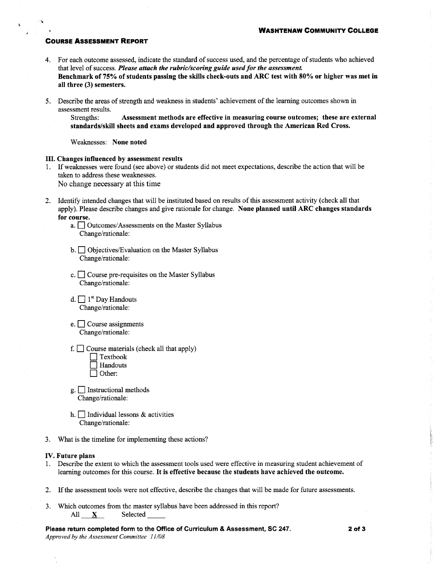### **COURSE ASSESSMENT REPORT**

- 4. For each outcome assessed, indicate the standard of success used, and the percentage of students who achieved that level of success. Please attach the rubric/scoring guide used for the assessment. Benchmark of 75% of students passing the skills check-outs and ARC test with 80% or higher was met in all three (3) semesters.
- 5. Describe the areas of strength and weakness in students' achievement of the learning outcomes shown in assessment results.

Assessment methods are effective in measuring course outcomes; these are external Strengths: standards/skill sheets and exams developed and approved through the American Red Cross.

Weaknesses: None noted

#### III. Changes influenced by assessment results

1. If weaknesses were found (see above) or students did not meet expectations, describe the action that will be taken to address these weaknesses.

No change necessary at this time

- 2. Identify intended changes that will be instituted based on results of this assessment activity (check all that apply). Please describe changes and give rationale for change. None planned until ARC changes standards for course.
	- a. Outcomes/Assessments on the Master Syllabus Change/rationale:
	- b. Objectives/Evaluation on the Master Syllabus Change/rationale:
	- c.  $\Box$  Course pre-requisites on the Master Syllabus Change/rationale:
	- d.  $\Box$  1<sup>st</sup> Day Handouts Change/rationale:
	- e.  $\Box$  Course assignments Change/rationale:
	- f.  $\Box$  Course materials (check all that apply)
		- $\exists$  Textbook **Handouts**
		- $\bigcap$  Other:
	- g. Instructional methods Change/rationale:
	- h.  $\Box$  Individual lessons & activities Change/rationale:
- 3. What is the timeline for implementing these actions?

#### IV. Future plans

- 1. Describe the extent to which the assessment tools used were effective in measuring student achievement of learning outcomes for this course. It is effective because the students have achieved the outcome.
- 2. If the assessment tools were not effective, describe the changes that will be made for future assessments.
- 3. Which outcomes from the master syllabus have been addressed in this report? Selected  $All X$
- Please return completed form to the Office of Curriculum & Assessment, SC 247. Approved by the Assessment Committee 11/08